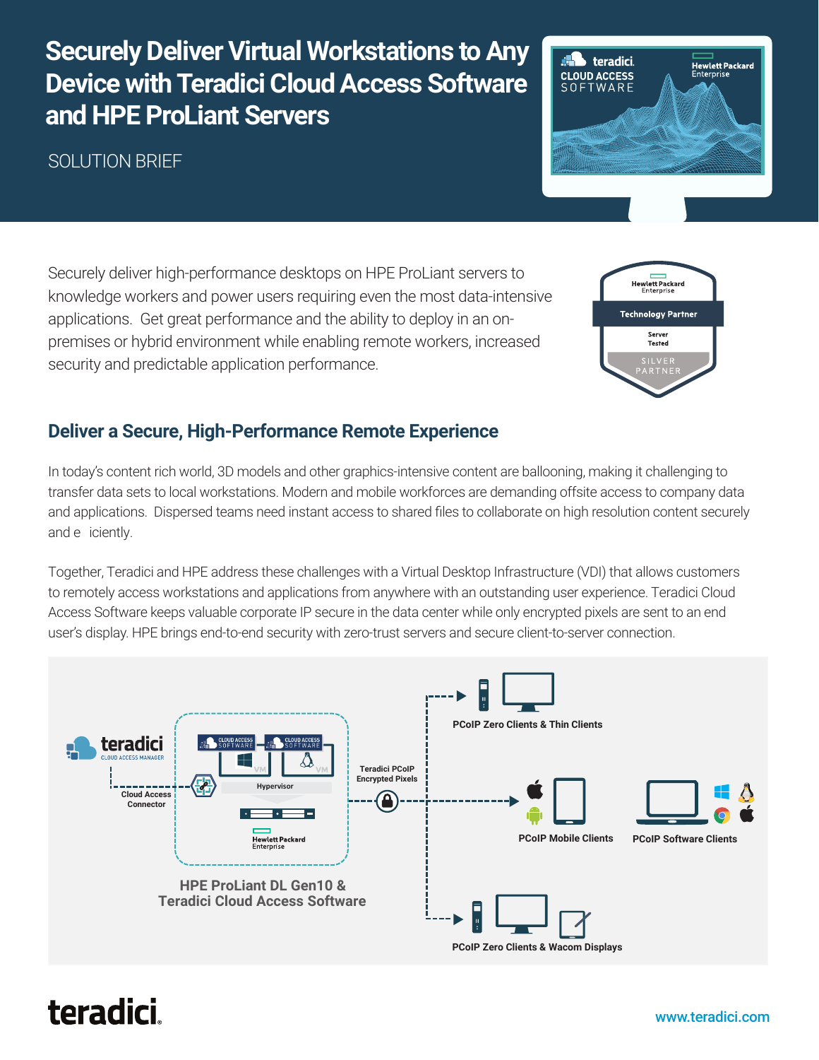## **Securely Deliver Virtual Workstations to Any Device with Teradici Cloud Access Software and HPE ProLiant Servers**

## SOLUTION BRIEF



Securely deliver high-performance desktops on HPE ProLiant servers to knowledge workers and power users requiring even the most data-intensive applications. Get great performance and the ability to deploy in an onpremises or hybrid environment while enabling remote workers, increased security and predictable application performance.



### **Deliver a Secure, High-Performance Remote Experience**

In today's content rich world, 3D models and other graphics-intensive content are ballooning, making it challenging to transfer data sets to local workstations. Modern and mobile workforces are demanding offsite access to company data and applications. Dispersed teams need instant access to shared files to collaborate on high resolution content securely and e iciently.

Together, Teradici and HPE address these challenges with a Virtual Desktop Infrastructure (VDI) that allows customers to remotely access workstations and applications from anywhere with an outstanding user experience. Teradici Cloud Access Software keeps valuable corporate IP secure in the data center while only encrypted pixels are sent to an end user's display. HPE brings end-to-end security with zero-trust servers and secure client-to-server connection.



# teradici.